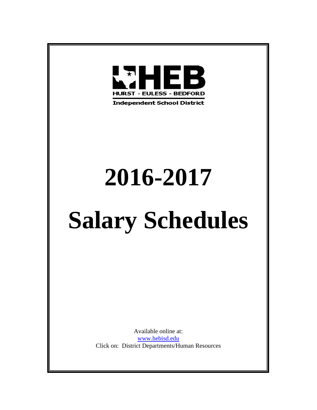

**Independent School District** 

## **2016-2017**

# **Salary Schedules**

Available online at: [www.hebisd.edu](http://www.hebisd.edu/) Click on: District Departments/Human Resources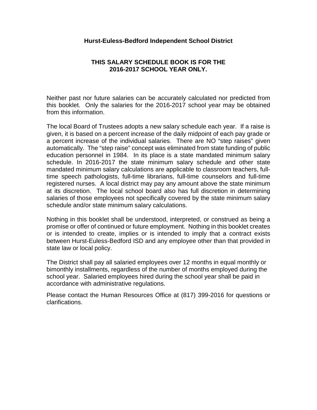#### **Hurst-Euless-Bedford Independent School District**

#### **THIS SALARY SCHEDULE BOOK IS FOR THE 2016-2017 SCHOOL YEAR ONLY.**

Neither past nor future salaries can be accurately calculated nor predicted from this booklet. Only the salaries for the 2016-2017 school year may be obtained from this information.

The local Board of Trustees adopts a new salary schedule each year. If a raise is given, it is based on a percent increase of the daily midpoint of each pay grade or a percent increase of the individual salaries. There are NO "step raises" given automatically. The "step raise" concept was eliminated from state funding of public education personnel in 1984. In its place is a state mandated minimum salary schedule. In 2016-2017 the state minimum salary schedule and other state mandated minimum salary calculations are applicable to classroom teachers, fulltime speech pathologists, full-time librarians, full-time counselors and full-time registered nurses. A local district may pay any amount above the state minimum at its discretion. The local school board also has full discretion in determining salaries of those employees not specifically covered by the state minimum salary schedule and/or state minimum salary calculations.

Nothing in this booklet shall be understood, interpreted, or construed as being a promise or offer of continued or future employment. Nothing in this booklet creates or is intended to create, implies or is intended to imply that a contract exists between Hurst-Euless-Bedford ISD and any employee other than that provided in state law or local policy.

The District shall pay all salaried employees over 12 months in equal monthly or bimonthly installments, regardless of the number of months employed during the school year. Salaried employees hired during the school year shall be paid in accordance with administrative regulations.

Please contact the Human Resources Office at (817) 399-2016 for questions or clarifications.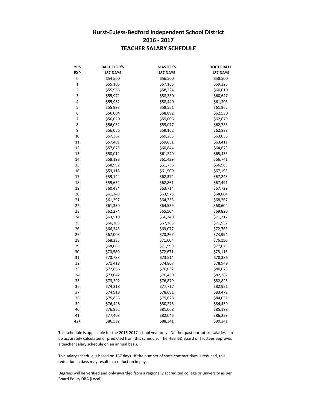#### **Hurst-Euless-Bedford Independent School District 2016 - 2017 TEACHER SALARY SCHEDULE**

| YRS                     | <b>BACHELOR'S</b> | <b>MASTER'S</b> | <b>DOCTORATE</b> |
|-------------------------|-------------------|-----------------|------------------|
| EXP                     | <b>187 DAYS</b>   | 187 DAYS        | <b>187 DAYS</b>  |
| 0                       | \$54,500          | \$56,500        | \$58,500         |
| $\mathbf 1$             | \$55,105          | \$57,165        | \$59,225         |
| $\overline{\mathbf{c}}$ | \$55,963          | \$58,224        | \$60,010         |
| 3                       | \$55,971          | \$58,330        | \$60,647         |
| 4                       | \$55,982          | \$58,440        | \$61,303         |
| 5                       | \$55,993          | \$58,551        | \$61,962         |
| 6                       | \$56,004          | \$58,892        | \$62,530         |
| 7                       | \$56,020          | \$59,006        | \$62,679         |
| 8                       | \$56,032          | \$59,077        | \$62,733         |
| 9                       | \$56,056          | \$59,162        | \$62,888         |
| 10                      | \$57,367          | \$59,285        | \$63,036         |
| 11                      | \$57,401          | \$59,651        | \$63,411         |
| 12                      | \$57,675          | \$60,844        | \$64,679         |
| 13                      | \$58,012          | \$61,240        | \$65,433         |
| 14                      | \$58,198          | \$61,429        | \$66,741         |
| 15                      | \$58,992          | \$61,736        | \$66,965         |
| 16                      | \$59,118          | \$61,900        | \$67,195         |
| 17                      | \$59,144          | \$62,374        | \$67,245         |
| 18                      | \$59,632          | \$62,861        | \$67,491         |
| 19                      | \$60,484          | \$63,714        | \$67,729         |
| 20                      | \$61,249          | \$63,978        | \$68,004         |
| 21                      | \$61,297          | \$64,233        | \$68,267         |
| 22                      | \$61,330          | \$64,559        | \$68,604         |
| 23                      | \$62,274          | \$65,504        | \$69,820         |
| 24                      | \$63,510          | \$66,740        | \$71,217         |
| 25                      | \$66,203          | \$67,783        | \$71,532         |
| 26                      | \$66,343          | \$69,077        | \$72,763         |
| 27                      | \$67,008          | \$70,267        | \$73,994         |
| 28                      | \$68,336          | \$71,604        | \$76,150         |
| 29                      | \$68,688          | \$71,990        | \$77,673         |
| 30                      | \$70,580          | \$72,671        | \$78,116         |
| 31                      | \$70,788          | \$73,514        | \$78,386         |
| 32                      | \$71,418          | \$74,807        | \$78,949         |
| 33                      | \$72,666          | \$76,057        | \$80,673         |
| 34                      | \$73,042          | \$76,469        | \$82,287         |
| 35                      | \$73,392          | \$76,879        | \$82,823         |
| 36                      | \$74,318          | \$77,717        | \$82,951         |
| 37                      | \$74,918          | \$78,681        | \$83,472         |
| 38                      | \$75,855          | \$79,628        | \$84,031         |
| 39                      | \$76,428          | \$80,273        | \$84,459         |
| 40                      | \$76,962          | \$81,008        | \$85,188         |
| 41                      | \$77,408          | \$82,046        | \$86,229         |
| $42+$                   | \$86,592          | \$88,341        | \$90,341         |

This schedule is applicable for the 2016-2017 school year only. Neither past nor future salaries can be accurately calculated or predicted from this schedule. The HEB ISD Board of Trustees approves a teacher salary schedule on an annual basis.

This salary schedule is based on 187 days. If the number of state contract days is reduced, this reduction in days may result in a reduction in pay.

Board Policy DBA (Local). Degrees will be verified and only awarded from a regionally accredited college or university as per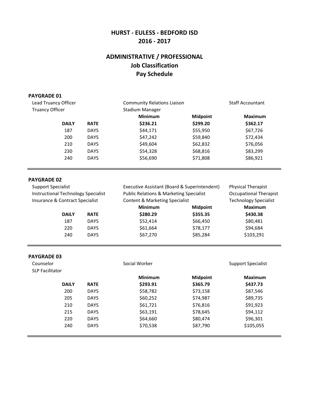## **ADMINISTRATIVE / PROFESSIONAL Job Classification Pay Schedule**

#### **PAYGRADE 01**

| Lead Truancy Officer   |             | <b>Community Relations Liaison</b> |                 | <b>Staff Accountant</b> |  |
|------------------------|-------------|------------------------------------|-----------------|-------------------------|--|
| <b>Truancy Officer</b> |             | Stadium Manager                    |                 |                         |  |
|                        |             | <b>Minimum</b>                     | <b>Midpoint</b> | <b>Maximum</b>          |  |
| <b>DAILY</b>           | <b>RATE</b> | \$236.21                           | \$299.20        | \$362.17                |  |
| 187                    | <b>DAYS</b> | \$44,171                           | \$55,950        | \$67,726                |  |
| 200                    | <b>DAYS</b> | \$47,242                           | \$59,840        | \$72,434                |  |
| 210                    | <b>DAYS</b> | \$49,604                           | \$62,832        | \$76,056                |  |
| 230                    | <b>DAYS</b> | \$54,328                           | \$68,816        | \$83,299                |  |
| 240                    | <b>DAYS</b> | \$56,690                           | \$71,808        | \$86,921                |  |

#### **PAYGRADE 02**

| <b>Support Specialist</b>                                                     |             |                                                                                                 | Executive Assistant (Board & Superintendent) |                                                               |
|-------------------------------------------------------------------------------|-------------|-------------------------------------------------------------------------------------------------|----------------------------------------------|---------------------------------------------------------------|
| <b>Instructional Technology Specialist</b><br>Insurance & Contract Specialist |             | <b>Public Relations &amp; Marketing Specialist</b><br><b>Content &amp; Marketing Specialist</b> |                                              | <b>Occupational Therapist</b><br><b>Technology Specialist</b> |
|                                                                               |             |                                                                                                 |                                              |                                                               |
| <b>DAILY</b>                                                                  | <b>RATE</b> | \$280.29                                                                                        | \$355.35                                     | \$430.38                                                      |
| 187                                                                           | <b>DAYS</b> | \$52,414                                                                                        | \$66,450                                     | \$80,481                                                      |
| 220                                                                           | <b>DAYS</b> | \$61,664                                                                                        | \$78,177                                     | \$94,684                                                      |
| 240                                                                           | <b>DAYS</b> | \$67,270                                                                                        | \$85,284                                     | \$103,291                                                     |
|                                                                               |             |                                                                                                 |                                              |                                                               |

#### **PAYGRADE 03**

| Counselor<br><b>SLP Facilitator</b> |              |             | Social Worker              |                             | Support Specialist         |
|-------------------------------------|--------------|-------------|----------------------------|-----------------------------|----------------------------|
|                                     | <b>DAILY</b> | <b>RATE</b> | <b>Minimum</b><br>\$293.91 | <b>Midpoint</b><br>\$365.79 | <b>Maximum</b><br>\$437.73 |
|                                     | 200          | <b>DAYS</b> | \$58,782                   | \$73,158                    | \$87,546                   |
|                                     | 205          | <b>DAYS</b> | \$60,252                   | \$74,987                    | \$89,735                   |
|                                     | 210          | <b>DAYS</b> | \$61,721                   | \$76,816                    | \$91,923                   |
|                                     | 215          | <b>DAYS</b> | \$63,191                   | \$78,645                    | \$94,112                   |
|                                     | 220          | <b>DAYS</b> | \$64,660                   | \$80,474                    | \$96,301                   |
|                                     | 240          | <b>DAYS</b> | \$70,538                   | \$87,790                    | \$105,055                  |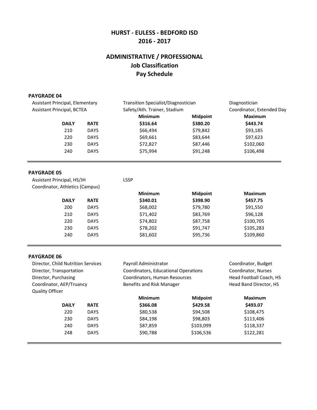#### **2016 - 2017 HURST - EULESS - BEDFORD ISD**

## **ADMINISTRATIVE / PROFESSIONAL Job Classification Pay Schedule**

#### **PAYGRADE 04**

| Assistant Principal, Elementary   |             | Transition Specialist/Diagnostician |                 | Diagnostician             |
|-----------------------------------|-------------|-------------------------------------|-----------------|---------------------------|
| <b>Assistant Principal, BCTEA</b> |             | Safety/Ath. Trainer, Stadium        |                 | Coordinator, Extended Day |
|                                   |             | <b>Minimum</b>                      | <b>Midpoint</b> | <b>Maximum</b>            |
| <b>DAILY</b>                      | <b>RATE</b> | \$316.64                            | \$380.20        | \$443.74                  |
| 210                               | <b>DAYS</b> | \$66,494                            | \$79,842        | \$93,185                  |
| 220                               | <b>DAYS</b> | \$69,661                            | \$83,644        | \$97,623                  |
| 230                               | <b>DAYS</b> | \$72,827                            | \$87,446        | \$102,060                 |
| 240                               | <b>DAYS</b> | \$75,994                            | \$91,248        | \$106,498                 |
|                                   |             |                                     |                 |                           |

#### **PAYGRADE 05**

| Assistant Principal, HS/JH      |             | <b>LSSP</b>    |                 |                |
|---------------------------------|-------------|----------------|-----------------|----------------|
| Coordinator, Athletics (Campus) |             |                |                 |                |
|                                 |             | <b>Minimum</b> | <b>Midpoint</b> | <b>Maximum</b> |
| <b>DAILY</b>                    | <b>RATE</b> | \$340.01       | \$398.90        | \$457.75       |
| 200                             | <b>DAYS</b> | \$68,002       | \$79,780        | \$91,550       |
| 210                             | <b>DAYS</b> | \$71,402       | \$83,769        | \$96,128       |
| 220                             | <b>DAYS</b> | \$74,802       | \$87,758        | \$100,705      |
| 230                             | <b>DAYS</b> | \$78,202       | \$91,747        | \$105,283      |
| 240                             | <b>DAYS</b> | \$81,602       | \$95,736        | \$109,860      |

#### **PAYGRADE 06**

| Director, Child Nutrition Services |             | Payroll Administrator                |                 | Coordinator, Budget     |
|------------------------------------|-------------|--------------------------------------|-----------------|-------------------------|
| Director, Transportation           |             | Coordinators, Educational Operations |                 | Coordinator, Nurses     |
| Director, Purchasing               |             | Coordinators, Human Resources        |                 | Head Football Coach, HS |
| Coordinator, AEP/Truancy           |             | Benefits and Risk Manager            |                 | Head Band Director, HS  |
| <b>Quality Officer</b>             |             |                                      |                 |                         |
|                                    |             | <b>Minimum</b>                       | <b>Midpoint</b> | <b>Maximum</b>          |
| <b>DAILY</b>                       | <b>RATE</b> | \$366.08                             | \$429.58        | \$493.07                |
| 220                                | <b>DAYS</b> | \$80,538                             | \$94,508        | \$108,475               |
| 230                                | <b>DAYS</b> | \$84,198                             | \$98,803        | \$113,406               |
| 240                                | <b>DAYS</b> | \$87,859                             | \$103,099       | \$118,337               |
| 248                                | <b>DAYS</b> | \$90,788                             | \$106,536       | \$122,281               |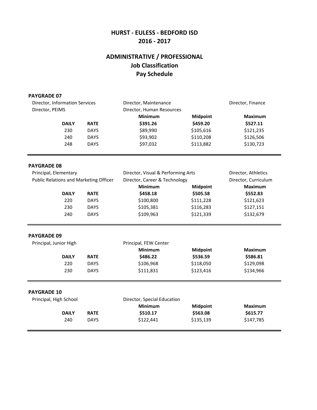## **ADMINISTRATIVE / PROFESSIONAL Job Classification Pay Schedule**

#### **PAYGRADE 07**

| Director, Information Services | Director, Maintenance |                           | Director, Finance |           |
|--------------------------------|-----------------------|---------------------------|-------------------|-----------|
| Director, PEIMS                |                       | Director, Human Resources |                   |           |
|                                |                       | <b>Minimum</b>            | <b>Midpoint</b>   | Maximum   |
| <b>DAILY</b>                   | <b>RATE</b>           | \$391.26                  | \$459.20          | \$527.11  |
| 230                            | <b>DAYS</b>           | \$89,990                  | \$105,616         | \$121,235 |
| 240                            | <b>DAYS</b>           | \$93,902                  | \$110,208         | \$126,506 |
| 248                            | <b>DAYS</b>           | \$97,032                  | \$113,882         | \$130,723 |

#### **PAYGRADE 08**

| Principal, Elementary                  |             | Director, Visual & Performing Arts |                 | Director, Athletics  |
|----------------------------------------|-------------|------------------------------------|-----------------|----------------------|
| Public Relations and Marketing Officer |             | Director, Career & Technology      |                 | Director, Curriculum |
|                                        |             | <b>Minimum</b>                     | <b>Midpoint</b> | <b>Maximum</b>       |
| <b>DAILY</b>                           | <b>RATE</b> | \$458.18                           | \$505.58        | \$552.83             |
| 220                                    | <b>DAYS</b> | \$100,800                          | \$111,228       | \$121,623            |
| 230                                    | <b>DAYS</b> | \$105,381                          | \$116,283       | \$127,151            |
| 240                                    | <b>DAYS</b> | \$109,963                          | \$121,339       | \$132,679            |

#### **PAYGRADE 09**

| Principal, Junior High |             | Principal, FEW Center |                 |           |
|------------------------|-------------|-----------------------|-----------------|-----------|
|                        |             | <b>Minimum</b>        | <b>Midpoint</b> | Maximum   |
| <b>DAILY</b>           | <b>RATE</b> | \$486.22              | \$536.59        | \$586.81  |
| 220                    | <b>DAYS</b> | \$106,968             | \$118,050       | \$129,098 |
| 230                    | <b>DAYS</b> | \$111.831             | \$123.416       | \$134,966 |
|                        |             |                       |                 |           |

#### **PAYGRADE 10**

| Principal, High School |             | Director, Special Education |                 | Maximum   |
|------------------------|-------------|-----------------------------|-----------------|-----------|
|                        |             | Minimum                     | <b>Midpoint</b> |           |
| <b>DAILY</b>           | <b>RATE</b> | \$510.17                    | \$563.08        | \$615.77  |
| 240                    | <b>DAYS</b> | \$122.441                   | \$135,139       | \$147,785 |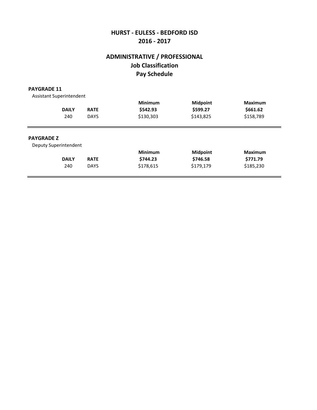## **Job Classification Pay Schedule ADMINISTRATIVE / PROFESSIONAL**

#### **PAYGRADE 11**

Assistant Superintendent **Minimum Midpoint Maximum DAILY RATE \$542.93 \$599.27 \$661.62** 240 DAYS \$130,303 \$143,825 \$158,789 **PAYGRADE Z** Deputy Superintendent **Minimum Midpoint Maximum DAILY RATE \$744.23 \$746.58 \$771.79** 240 DAYS \$178,615 \$179,179 \$185,230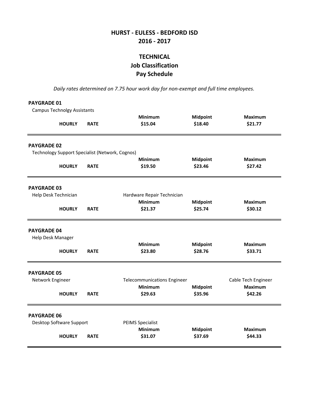## **TECHNICAL Job Classification Pay Schedule**

*Daily rates determined on 7.75 hour work day for non-exempt and full time employees.*

| <b>PAYGRADE 01</b>                              |             |                                    |                 |                     |
|-------------------------------------------------|-------------|------------------------------------|-----------------|---------------------|
| <b>Campus Technolgy Assistants</b>              |             |                                    |                 |                     |
|                                                 |             | <b>Minimum</b>                     | <b>Midpoint</b> | <b>Maximum</b>      |
| <b>HOURLY</b>                                   | <b>RATE</b> | \$15.04                            | \$18.40         | \$21.77             |
| <b>PAYGRADE 02</b>                              |             |                                    |                 |                     |
| Technology Support Specialist (Network, Cognos) |             |                                    |                 |                     |
|                                                 |             | <b>Minimum</b>                     | <b>Midpoint</b> | <b>Maximum</b>      |
| <b>HOURLY</b>                                   | <b>RATE</b> | \$19.50                            | \$23.46         | \$27.42             |
| <b>PAYGRADE 03</b>                              |             |                                    |                 |                     |
| Help Desk Technician                            |             | Hardware Repair Technician         |                 |                     |
|                                                 |             | Minimum                            | <b>Midpoint</b> | <b>Maximum</b>      |
| <b>HOURLY</b>                                   | <b>RATE</b> | \$21.37                            | \$25.74         | \$30.12             |
| <b>PAYGRADE 04</b>                              |             |                                    |                 |                     |
| Help Desk Manager                               |             |                                    |                 |                     |
|                                                 |             | Minimum                            | <b>Midpoint</b> | <b>Maximum</b>      |
| <b>HOURLY</b>                                   | <b>RATE</b> | \$23.80                            | \$28.76         | \$33.71             |
| <b>PAYGRADE 05</b>                              |             |                                    |                 |                     |
| Network Engineer                                |             | <b>Telecommunications Engineer</b> |                 | Cable Tech Engineer |
|                                                 |             | <b>Minimum</b>                     | <b>Midpoint</b> | <b>Maximum</b>      |
| <b>HOURLY</b>                                   | <b>RATE</b> | \$29.63                            | \$35.96         | \$42.26             |
| <b>PAYGRADE 06</b>                              |             |                                    |                 |                     |
| Desktop Software Support                        |             | <b>PEIMS Specialist</b>            |                 |                     |
|                                                 |             | <b>Minimum</b>                     | <b>Midpoint</b> | <b>Maximum</b>      |
| <b>HOURLY</b>                                   | <b>RATE</b> | \$31.07                            | \$37.69         | \$44.33             |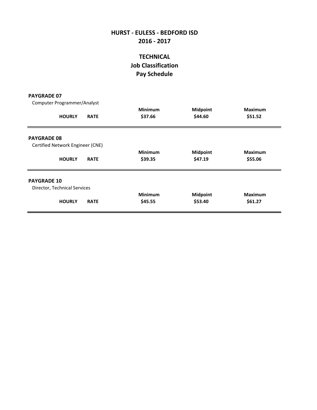## **Pay Schedule Job Classification TECHNICAL**

#### **PAYGRADE 07**

Computer Programmer/Analyst

| <b>HOURLY</b>                    | <b>RATE</b> | Minimum<br>\$37.66 | <b>Midpoint</b><br>\$44.60 | <b>Maximum</b><br>\$51.52 |
|----------------------------------|-------------|--------------------|----------------------------|---------------------------|
| <b>PAYGRADE 08</b>               |             |                    |                            |                           |
| Certified Network Engineer (CNE) |             |                    |                            |                           |
|                                  |             | <b>Minimum</b>     | <b>Midpoint</b>            | <b>Maximum</b>            |
| <b>HOURLY</b>                    | <b>RATE</b> | \$39.35            | \$47.19                    | \$55.06                   |
| <b>PAYGRADE 10</b>               |             |                    |                            |                           |
| Director, Technical Services     |             |                    |                            |                           |
|                                  |             | <b>Minimum</b>     | <b>Midpoint</b>            | <b>Maximum</b>            |
| <b>HOURLY</b>                    | <b>RATE</b> | \$45.55            | \$53.40                    | \$61.27                   |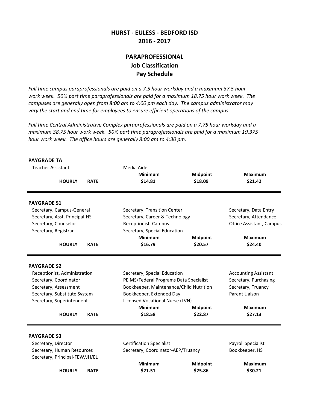#### **PARAPROFESSIONAL Job Classification Pay Schedule**

*Full time campus paraprofessionals are paid on a 7.5 hour workday and a maximum 37.5 hour work week. 50% part time paraprofessionals are paid for a maximum 18.75 hour work week. The campuses are generally open from 8:00 am to 4:00 pm each day. The campus administrator may vary the start and end time for employees to ensure efficient operations of the campus.*

*hour work week. The office hours are generally 8:00 am to 4:30 pm. maximum 38.75 hour work week. 50% part time paraprofessionals are paid for a maximum 19.375 Full time Central Administrative Complex paraprofessionals are paid on a 7.75 hour workday and a*

| <b>PAYGRADE TA</b>                                                                                                                           |             |                                                                                                                                                                                  |                 |                                                                                              |
|----------------------------------------------------------------------------------------------------------------------------------------------|-------------|----------------------------------------------------------------------------------------------------------------------------------------------------------------------------------|-----------------|----------------------------------------------------------------------------------------------|
| <b>Teacher Assistant</b>                                                                                                                     |             | Media Aide                                                                                                                                                                       |                 |                                                                                              |
|                                                                                                                                              |             | <b>Minimum</b>                                                                                                                                                                   | <b>Midpoint</b> | <b>Maximum</b>                                                                               |
| <b>HOURLY</b>                                                                                                                                | <b>RATE</b> | \$14.81                                                                                                                                                                          | \$18.09         | \$21.42                                                                                      |
| <b>PAYGRADE S1</b>                                                                                                                           |             |                                                                                                                                                                                  |                 |                                                                                              |
| Secretary, Campus-General                                                                                                                    |             | Secretary, Transition Center                                                                                                                                                     |                 | Secretary, Data Entry                                                                        |
| Secretary, Asst. Principal-HS                                                                                                                |             | Secretary, Career & Technology                                                                                                                                                   |                 | Secretary, Attendance                                                                        |
| Secretary, Counselor                                                                                                                         |             | Receptionist, Campus                                                                                                                                                             |                 | Office Assistant, Campus                                                                     |
| Secretary, Registrar                                                                                                                         |             | Secretary, Special Education                                                                                                                                                     |                 |                                                                                              |
|                                                                                                                                              |             | <b>Minimum</b>                                                                                                                                                                   | <b>Midpoint</b> | <b>Maximum</b>                                                                               |
| <b>HOURLY</b>                                                                                                                                | <b>RATE</b> | \$16.79                                                                                                                                                                          | \$20.57         | \$24.40                                                                                      |
| Receptionist, Administration<br>Secretary, Coordinator<br>Secretary, Assessment<br>Secretary, Substitute System<br>Secretary, Superintendent |             | Secretary, Special Education<br>PEIMS/Federal Programs Data Specialist<br>Bookkeeper, Maintenance/Child Nutrition<br>Bookkeeper, Extended Day<br>Licensed Vocational Nurse (LVN) |                 | <b>Accounting Assistant</b><br>Secretary, Purchasing<br>Secretary, Truancy<br>Parent Liaison |
|                                                                                                                                              |             | <b>Minimum</b>                                                                                                                                                                   | <b>Midpoint</b> | <b>Maximum</b>                                                                               |
| <b>HOURLY</b>                                                                                                                                | <b>RATE</b> | \$18.58                                                                                                                                                                          | \$22.87         | \$27.13                                                                                      |
| <b>PAYGRADE S3</b>                                                                                                                           |             |                                                                                                                                                                                  |                 |                                                                                              |
| Secretary, Director                                                                                                                          |             | <b>Certification Specialist</b>                                                                                                                                                  |                 | Payroll Specialist                                                                           |
| Secretary, Human Resources<br>Secretary, Principal-FEW/JH/EL                                                                                 |             | Secretary, Coordinator-AEP/Truancy                                                                                                                                               |                 | Bookkeeper, HS                                                                               |
|                                                                                                                                              |             | <b>Minimum</b>                                                                                                                                                                   | <b>Midpoint</b> | <b>Maximum</b>                                                                               |
| <b>HOURLY</b>                                                                                                                                | <b>RATE</b> | \$21.51                                                                                                                                                                          | \$25.86         | \$30.21                                                                                      |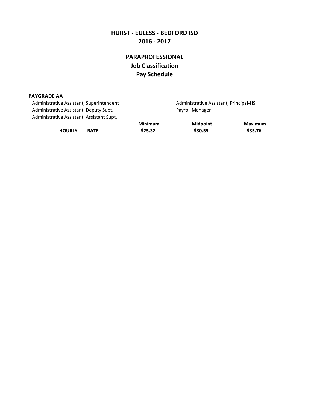## **PARAPROFESSIONAL Job Classification Pay Schedule**

| <b>PAYGRADE AA</b>                        |                 |                                        |         |
|-------------------------------------------|-----------------|----------------------------------------|---------|
| Administrative Assistant, Superintendent  |                 | Administrative Assistant, Principal-HS |         |
| Administrative Assistant, Deputy Supt.    | Payroll Manager |                                        |         |
| Administrative Assistant, Assistant Supt. |                 |                                        |         |
|                                           | <b>Minimum</b>  | <b>Midpoint</b>                        | Maximum |
| <b>HOURLY</b><br><b>RATE</b>              | \$25.32         | \$30.55                                | \$35.76 |
|                                           |                 |                                        |         |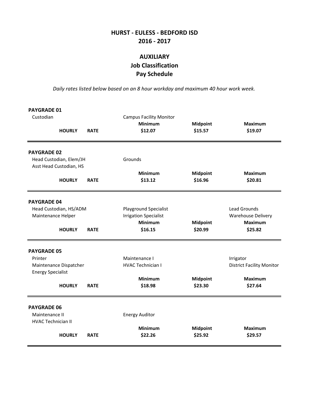## **AUXILIARY Job Classification Pay Schedule**

*Daily rates listed below based on an 8 hour workday and maximum 40 hour work week.*

| <b>PAYGRADE 01</b><br>Custodian                                   | <b>HOURLY</b>                                                       | <b>RATE</b> | <b>Campus Facility Monitor</b><br><b>Minimum</b><br>\$12.07                        | <b>Midpoint</b><br>\$15.57 | <b>Maximum</b><br>\$19.07                                                  |
|-------------------------------------------------------------------|---------------------------------------------------------------------|-------------|------------------------------------------------------------------------------------|----------------------------|----------------------------------------------------------------------------|
| <b>PAYGRADE 02</b>                                                | Head Custodian, Elem/JH<br>Asst Head Custodian, HS<br><b>HOURLY</b> | <b>RATE</b> | Grounds<br><b>Minimum</b><br>\$13.12                                               | <b>Midpoint</b><br>\$16.96 | <b>Maximum</b><br>\$20.81                                                  |
| <b>PAYGRADE 04</b><br>Maintenance Helper                          | Head Custodian, HS/ADM<br><b>HOURLY</b>                             | <b>RATE</b> | Playground Specialist<br><b>Irrigation Specialist</b><br><b>Minimum</b><br>\$16.15 | <b>Midpoint</b><br>\$20.99 | Lead Grounds<br><b>Warehouse Delivery</b><br><b>Maximum</b><br>\$25.82     |
| <b>PAYGRADE 05</b><br>Printer<br><b>Energy Specialist</b>         | Maintenance Dispatcher<br><b>HOURLY</b>                             | <b>RATE</b> | Maintenance I<br><b>HVAC Technician I</b><br><b>Minimum</b><br>\$18.98             | <b>Midpoint</b><br>\$23.30 | Irrigator<br><b>District Facility Monitor</b><br><b>Maximum</b><br>\$27.64 |
| <b>PAYGRADE 06</b><br>Maintenance II<br><b>HVAC Technician II</b> | <b>HOURLY</b>                                                       | <b>RATE</b> | <b>Energy Auditor</b><br><b>Minimum</b><br>\$22.26                                 | <b>Midpoint</b><br>\$25.92 | <b>Maximum</b><br>\$29.57                                                  |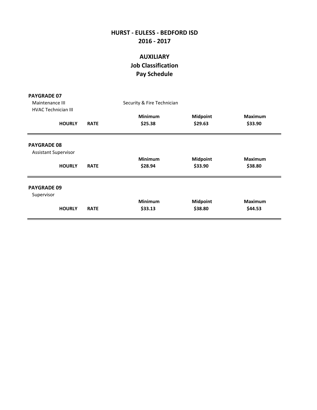## **AUXILIARY Job Classification Pay Schedule**

| <b>PAYGRADE 07</b>                                |             |                            |                            |                           |
|---------------------------------------------------|-------------|----------------------------|----------------------------|---------------------------|
| Maintenance III                                   |             | Security & Fire Technician |                            |                           |
| <b>HVAC Technician III</b>                        |             |                            |                            |                           |
|                                                   |             | <b>Minimum</b><br>\$25.38  | <b>Midpoint</b><br>\$29.63 | <b>Maximum</b><br>\$33.90 |
| <b>HOURLY</b>                                     | <b>RATE</b> |                            |                            |                           |
| <b>PAYGRADE 08</b><br><b>Assistant Supervisor</b> |             |                            |                            |                           |
|                                                   |             | <b>Minimum</b>             | <b>Midpoint</b>            | <b>Maximum</b>            |
| <b>HOURLY</b>                                     | <b>RATE</b> | \$28.94                    | \$33.90                    | \$38.80                   |
| <b>PAYGRADE 09</b><br>Supervisor                  |             |                            |                            |                           |
|                                                   |             | <b>Minimum</b>             | <b>Midpoint</b>            | <b>Maximum</b>            |
| <b>HOURLY</b>                                     | <b>RATE</b> | \$33.13                    | \$38.80                    | \$44.53                   |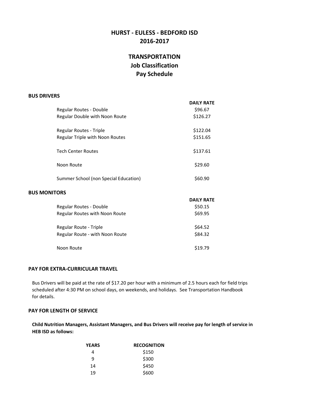## **TRANSPORTATION Job Classification Pay Schedule**

#### **BUS DRIVERS**

|                                       | <b>DAILY RATE</b> |
|---------------------------------------|-------------------|
| Regular Routes - Double               | \$96.67           |
| Regular Double with Noon Route        | \$126.27          |
| Regular Routes - Triple               | \$122.04          |
| Regular Triple with Noon Routes       | \$151.65          |
| <b>Tech Center Routes</b>             | \$137.61          |
| Noon Route                            | \$29.60           |
| Summer School (non Special Education) | \$60.90           |
|                                       |                   |

#### **BUS MONITORS**

|                                 | <b>DAILY RATE</b> |
|---------------------------------|-------------------|
| Regular Routes - Double         | \$50.15           |
| Regular Routes with Noon Route  | \$69.95           |
| Regular Route - Triple          | \$64.52           |
| Regular Route - with Noon Route | \$84.32           |
| Noon Route                      | \$19.79           |

#### **PAY FOR EXTRA-CURRICULAR TRAVEL**

for details. scheduled after 4:30 PM on school days, on weekends, and holidays. See Transportation Handbook Bus Drivers will be paid at the rate of \$17.20 per hour with a minimum of 2.5 hours each for field trips

#### **PAY FOR LENGTH OF SERVICE**

**Child Nutrition Managers, Assistant Managers, and Bus Drivers will receive pay for length of service in HEB ISD as follows:**

| YEARS | <b>RECOGNITION</b> |
|-------|--------------------|
| 4     | \$150              |
| q     | \$300              |
| 14    | \$450              |
| 19    | \$600              |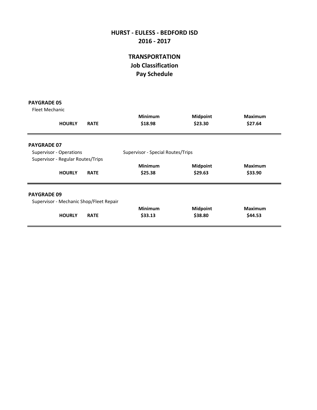## **TRANSPORTATION Job Classification Pay Schedule**

| <b>PAYGRADE 05</b> |  |
|--------------------|--|
|--------------------|--|

| Fleet Mechanic     |                                   |                                         |                                   |                            |                           |
|--------------------|-----------------------------------|-----------------------------------------|-----------------------------------|----------------------------|---------------------------|
|                    | <b>HOURLY</b>                     | <b>RATE</b>                             | <b>Minimum</b><br>\$18.98         | <b>Midpoint</b><br>\$23.30 | <b>Maximum</b><br>\$27.64 |
| <b>PAYGRADE 07</b> |                                   |                                         |                                   |                            |                           |
|                    | <b>Supervisor - Operations</b>    |                                         | Supervisor - Special Routes/Trips |                            |                           |
|                    | Supervisor - Regular Routes/Trips |                                         |                                   |                            |                           |
|                    |                                   |                                         | <b>Minimum</b>                    | <b>Midpoint</b>            | <b>Maximum</b>            |
|                    | <b>HOURLY</b>                     | <b>RATE</b>                             | \$25.38                           | \$29.63                    | \$33.90                   |
| <b>PAYGRADE 09</b> |                                   |                                         |                                   |                            |                           |
|                    |                                   | Supervisor - Mechanic Shop/Fleet Repair |                                   |                            |                           |
|                    |                                   |                                         | <b>Minimum</b>                    | <b>Midpoint</b>            | <b>Maximum</b>            |
|                    | <b>HOURLY</b>                     | <b>RATE</b>                             | \$33.13                           | \$38.80                    | \$44.53                   |
|                    |                                   |                                         |                                   |                            |                           |